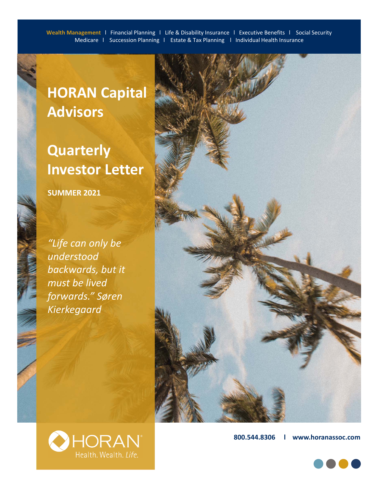# **HORAN Capital Advisors**

## **Quarterly Investor Letter**

**SUMMER 2021**

*"Life can only be understood backwards, but it must be lived forwards." Søren Kierkegaard*



**800.544.8306 l www.horanassoc.com**



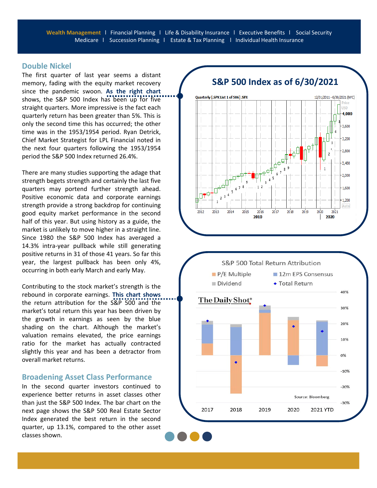#### **Double Nickel**

The first quarter of last year seems a distant memory, fading with the equity market recovery since the pandemic swoon. **As the right chart** shows, the S&P 500 Index has been up for five straight quarters. More impressive is the fact each quarterly return has been greater than 5%. This is only the second time this has occurred; the other time was in the 1953/1954 period. Ryan Detrick, Chief Market Strategist for LPL Financial noted in the next four quarters following the 1953/1954 period the S&P 500 Index returned 26.4%.

There are many studies supporting the adage that strength begets strength and certainly the last five quarters may portend further strength ahead. Positive economic data and corporate earnings strength provide a strong backdrop for continuing good equity market performance in the second half of this year. But using history as a guide, the market is unlikely to move higher in a straight line. Since 1980 the S&P 500 Index has averaged a 14.3% intra‐year pullback while still generating positive returns in 31 of those 41 years. So far this year, the largest pullback has been only 4%, occurring in both early March and early May.

Contributing to the stock market's strength is the rebound in corporate earnings. **This chart shows** the return attribution for the S&P 500 and the market's total return this year has been driven by the growth in earnings as seen by the blue shading on the chart. Although the market's valuation remains elevated, the price earnings ratio for the market has actually contracted slightly this year and has been a detractor from overall market returns.

#### **Broadening Asset Class Performance**

In the second quarter investors continued to experience better returns in asset classes other than just the S&P 500 Index. The bar chart on the next page shows the S&P 500 Real Estate Sector Index generated the best return in the second quarter, up 13.1%, compared to the other asset classes shown.



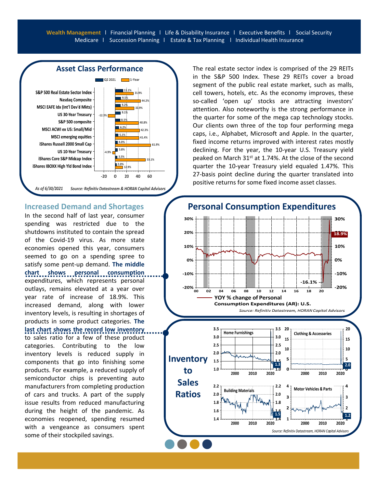

#### **Increased Demand and Shortages**

In the second half of last year, consumer spending was restricted due to the shutdowns instituted to contain the spread of the Covid‐19 virus. As more state economies opened this year, consumers seemed to go on a spending spree to satisfy some pent‐up demand. **The middle** chart shows personal consumption expenditures, which represents personal outlays, remains elevated at a year over year rate of increase of 18.9%. This increased demand, along with lower inventory levels, is resulting in shortages of products in some product categories. **The**

**last chart shows the record low inventory**

to sales ratio for a few of these product categories. Contributing to the low inventory levels is reduced supply in components that go into finishing some products. For example, a reduced supply of semiconductor chips is preventing auto manufacturers from completing production of cars and trucks. A part of the supply issue results from reduced manufacturing during the height of the pandemic. As economies reopened, spending resumed with a vengeance as consumers spent some of their stockpiled savings.

The real estate sector index is comprised of the 29 REITs in the S&P 500 Index. These 29 REITs cover a broad segment of the public real estate market, such as malls, cell towers, hotels, etc. As the economy improves, these so-called 'open up' stocks are attracting investors' attention. Also noteworthy is the strong performance in the quarter for some of the mega cap technology stocks. Our clients own three of the top four performing mega caps, i.e., Alphabet, Microsoft and Apple. In the quarter, fixed income returns improved with interest rates mostly declining. For the year, the 10‐year U.S. Treasury yield peaked on March 31<sup>st</sup> at 1.74%. At the close of the second quarter the 10‐year Treasury yield equaled 1.47%. This 27-basis point decline during the quarter translated into positive returns for some fixed income asset classes.

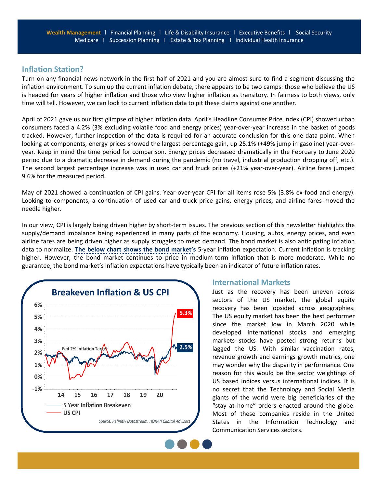## **Inflation Station?**

Turn on any financial news network in the first half of 2021 and you are almost sure to find a segment discussing the inflation environment. To sum up the current inflation debate, there appears to be two camps: those who believe the US is headed for years of higher inflation and those who view higher inflation as transitory. In fairness to both views, only time will tell. However, we can look to current inflation data to pit these claims against one another.

April of 2021 gave us our first glimpse of higher inflation data. April's Headline Consumer Price Index (CPI) showed urban consumers faced a 4.2% (3% excluding volatile food and energy prices) year‐over‐year increase in the basket of goods tracked. However, further inspection of the data is required for an accurate conclusion for this one data point. When looking at components, energy prices showed the largest percentage gain, up 25.1% (+49% jump in gasoline) year-overyear. Keep in mind the time period for comparison. Energy prices decreased dramatically in the February to June 2020 period due to a dramatic decrease in demand during the pandemic (no travel, industrial production dropping off, etc.). The second largest percentage increase was in used car and truck prices (+21% year-over-year). Airline fares jumped 9.6% for the measured period.

May of 2021 showed a continuation of CPI gains. Year-over-year CPI for all items rose 5% (3.8% ex-food and energy). Looking to components, a continuation of used car and truck price gains, energy prices, and airline fares moved the needle higher.

In our view, CPI is largely being driven higher by short-term issues. The previous section of this newsletter highlights the supply/demand imbalance being experienced in many parts of the economy. Housing, autos, energy prices, and even airline fares are being driven higher as supply struggles to meet demand. The bond market is also anticipating inflation data to normalize. **The below chart shows the bond market's** 5‐year inflation expectation. Current inflation is tracking higher. However, the bond market continues to price in medium-term inflation that is more moderate. While no guarantee, the bond market's inflation expectations have typically been an indicator of future inflation rates.



### **International Markets**

Just as the recovery has been uneven across sectors of the US market, the global equity recovery has been lopsided across geographies. The US equity market has been the best performer since the market low in March 2020 while developed international stocks and emerging markets stocks have posted strong returns but lagged the US. With similar vaccination rates, revenue growth and earnings growth metrics, one may wonder why the disparity in performance. One reason for this would be the sector weightings of US based indices versus international indices. It is no secret that the Technology and Social Media giants of the world were big beneficiaries of the "stay at home" orders enacted around the globe. Most of these companies reside in the United States in the Information Technology and Communication Services sectors.